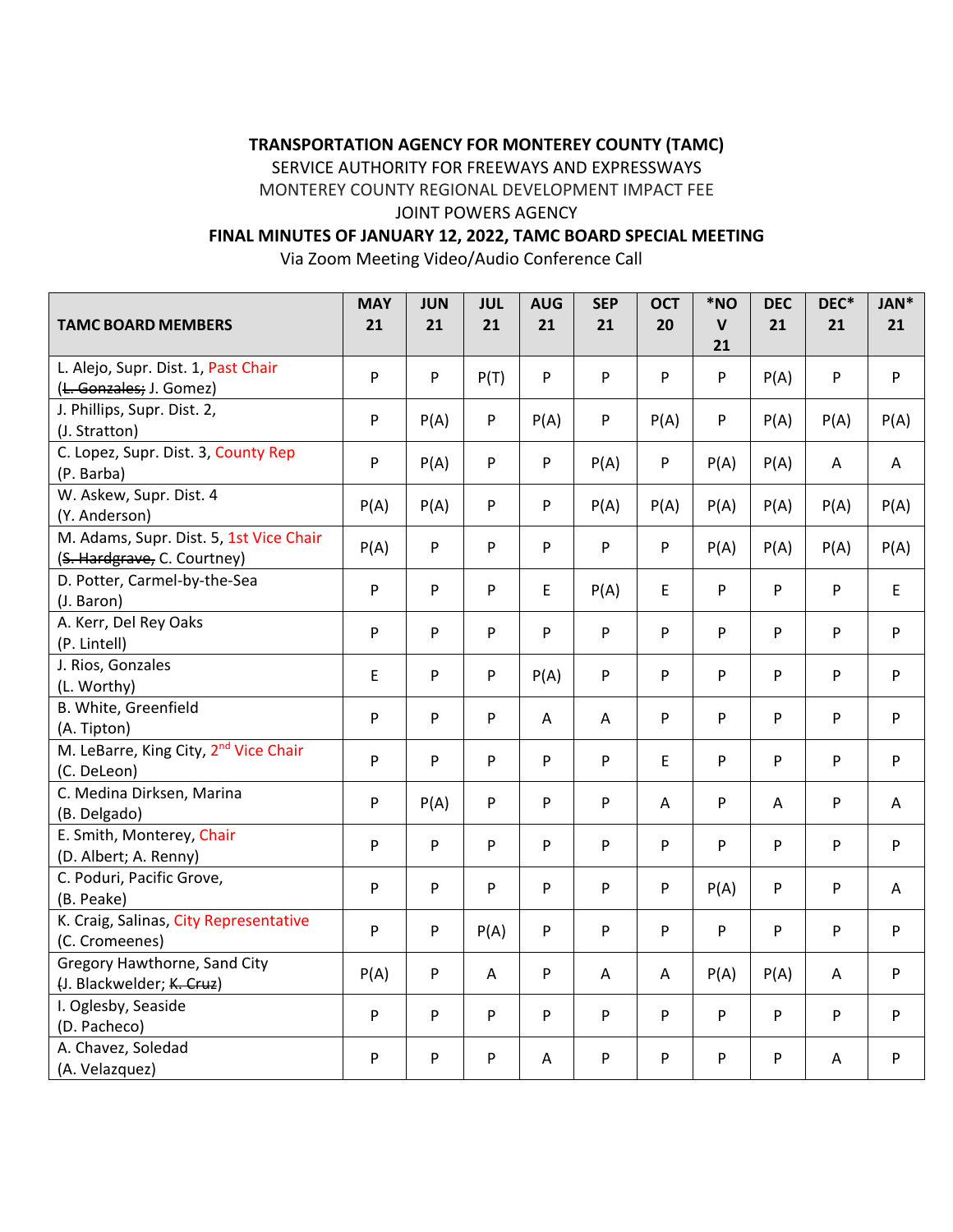## **TRANSPORTATION AGENCY FOR MONTEREY COUNTY (TAMC)**

SERVICE AUTHORITY FOR FREEWAYS AND EXPRESSWAYS

MONTEREY COUNTY REGIONAL DEVELOPMENT IMPACT FEE

## JOINT POWERS AGENCY

# **FINAL MINUTES OF JANUARY 12, 2022, TAMC BOARD SPECIAL MEETING**

Via Zoom Meeting Video/Audio Conference Call

| <b>TAMC BOARD MEMBERS</b>                                              | <b>MAY</b><br>21 | <b>JUN</b><br>21 | <b>JUL</b><br>21 | <b>AUG</b><br>21          | <b>SEP</b><br>21          | <b>OCT</b><br>20 | *NO<br>$\mathsf{V}$ | <b>DEC</b><br>21 | DEC*<br>21   | JAN*<br>21                |
|------------------------------------------------------------------------|------------------|------------------|------------------|---------------------------|---------------------------|------------------|---------------------|------------------|--------------|---------------------------|
|                                                                        |                  |                  |                  |                           |                           |                  | 21                  |                  |              |                           |
| L. Alejo, Supr. Dist. 1, Past Chair<br>(L. Gonzales; J. Gomez)         | $\mathsf{P}$     | P                | P(T)             | P                         | ${\sf P}$                 | P                | P                   | P(A)             | ${\sf P}$    | $\boldsymbol{\mathsf{P}}$ |
| J. Phillips, Supr. Dist. 2,<br>(J. Stratton)                           | P                | P(A)             | P                | P(A)                      | P                         | P(A)             | P                   | P(A)             | P(A)         | P(A)                      |
| C. Lopez, Supr. Dist. 3, County Rep<br>(P. Barba)                      | ${\sf P}$        | P(A)             | $\mathsf{P}$     | ${\sf P}$                 | P(A)                      | P                | P(A)                | P(A)             | A            | A                         |
| W. Askew, Supr. Dist. 4<br>(Y. Anderson)                               | P(A)             | P(A)             | P                | P                         | P(A)                      | P(A)             | P(A)                | P(A)             | P(A)         | P(A)                      |
| M. Adams, Supr. Dist. 5, 1st Vice Chair<br>(S. Hardgrave, C. Courtney) | P(A)             | P                | $\mathsf{P}$     | P                         | P                         | P                | P(A)                | P(A)             | P(A)         | P(A)                      |
| D. Potter, Carmel-by-the-Sea<br>(J. Baron)                             | $\mathsf{P}$     | P                | $\mathsf{P}$     | $\mathsf E$               | P(A)                      | E                | P                   | P                | P            | $\mathsf E$               |
| A. Kerr, Del Rey Oaks<br>(P. Lintell)                                  | $\mathsf{P}$     | P                | P                | ${\sf P}$                 | P                         | P                | P                   | P                | P            | ${\sf P}$                 |
| J. Rios, Gonzales<br>(L. Worthy)                                       | E                | P                | P                | P(A)                      | P                         | P                | P                   | P                | $\mathsf{P}$ | $\boldsymbol{\mathsf{P}}$ |
| B. White, Greenfield<br>(A. Tipton)                                    | $\mathsf{P}$     | P                | $\mathsf{P}$     | Α                         | Α                         | P                | P                   | P                | ${\sf P}$    | ${\sf P}$                 |
| M. LeBarre, King City, 2 <sup>nd</sup> Vice Chair<br>(C. DeLeon)       | P                | P                | P                | ${\sf P}$                 | ${\sf P}$                 | E                | P                   | P                | $\mathsf{P}$ | ${\sf P}$                 |
| C. Medina Dirksen, Marina<br>(B. Delgado)                              | ${\sf P}$        | P(A)             | $\mathsf{P}$     | P                         | ${\sf P}$                 | Α                | P                   | Α                | ${\sf P}$    | A                         |
| E. Smith, Monterey, Chair<br>(D. Albert; A. Renny)                     | P                | P                | $\mathsf{P}$     | P                         | ${\sf P}$                 | P                | P                   | P                | P            | ${\sf P}$                 |
| C. Poduri, Pacific Grove,<br>(B. Peake)                                | P                | P                | $\mathsf{P}$     | P                         | P                         | P                | P(A)                | P                | ${\sf P}$    | A                         |
| K. Craig, Salinas, City Representative<br>(C. Cromeenes)               | P                | P                | P(A)             | $\boldsymbol{\mathsf{P}}$ | ${\sf P}$                 | P                | P                   | P                | P            | ${\sf P}$                 |
| Gregory Hawthorne, Sand City<br>(J. Blackwelder; K. Cruz)              | P(A)             | P                | Α                | P                         | A                         | A                | P(A)                | P(A)             | Α            | ${\sf P}$                 |
| I. Oglesby, Seaside<br>(D. Pacheco)                                    | $\mathsf{P}$     | P                | P                | P                         | P                         | P                | P                   | P                | $\mathsf{P}$ | ${\sf P}$                 |
| A. Chavez, Soledad<br>(A. Velazquez)                                   | P                | P                | P                | Α                         | $\boldsymbol{\mathsf{P}}$ | $\mathsf{P}$     | P                   | P                | A            | $\boldsymbol{\mathsf{P}}$ |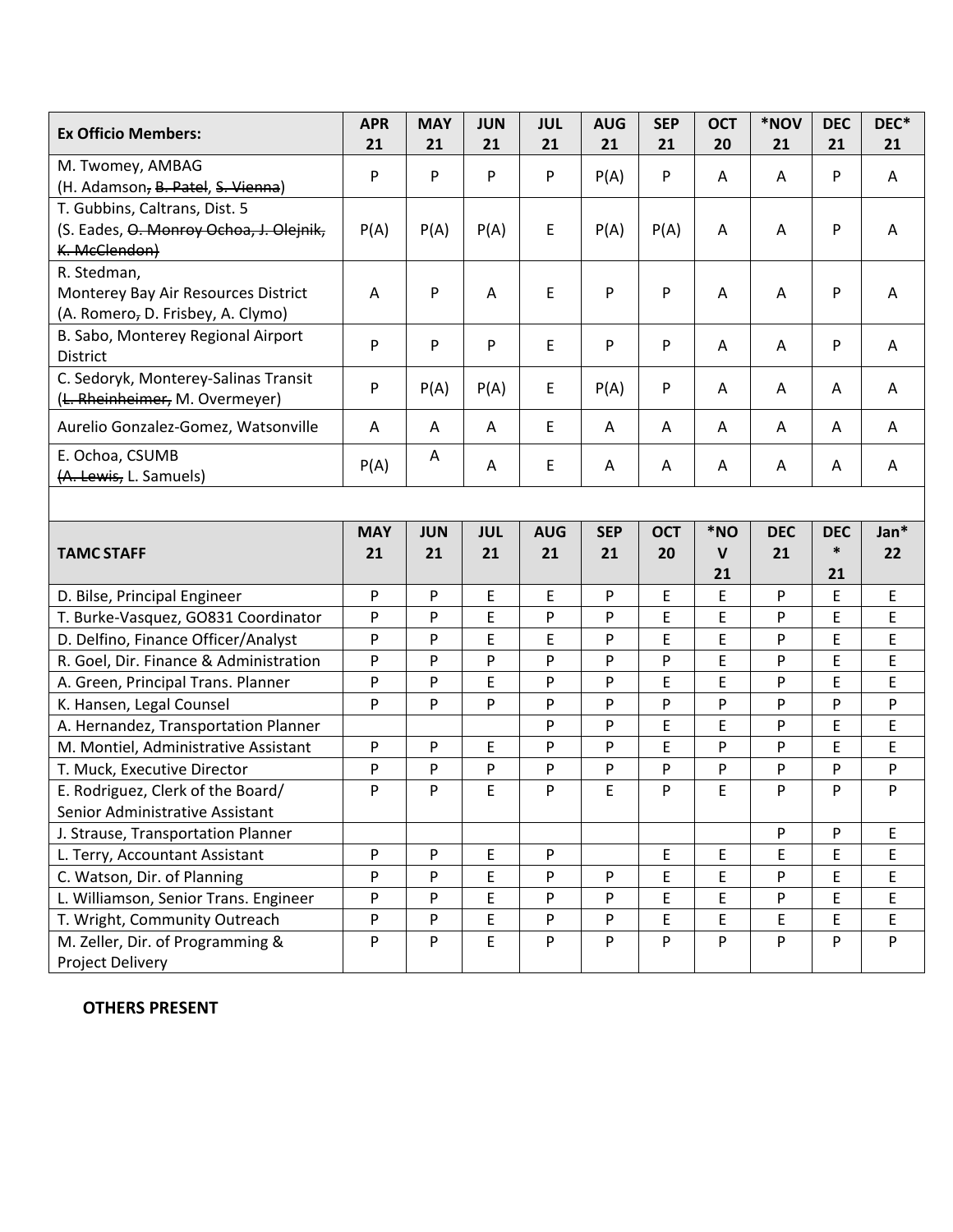| <b>Ex Officio Members:</b>                           | <b>APR</b><br>21 | <b>MAY</b><br>21 | <b>JUN</b><br>21 | <b>JUL</b><br>21 | <b>AUG</b><br>21 | <b>SEP</b><br>21 | <b>OCT</b><br>20 | *NOV<br>21 | <b>DEC</b><br>21 | DEC*<br>21 |
|------------------------------------------------------|------------------|------------------|------------------|------------------|------------------|------------------|------------------|------------|------------------|------------|
| M. Twomey, AMBAG                                     |                  |                  |                  |                  |                  |                  |                  |            |                  |            |
| (H. Adamson, B. Patel, S. Vienna)                    | P                | P                | P                | P                | P(A)             | $\mathsf{P}$     | A                | A          | P                | A          |
| T. Gubbins, Caltrans, Dist. 5                        |                  |                  |                  |                  |                  |                  |                  |            |                  |            |
| (S. Eades, O. Monroy Ochoa, J. Olejnik,              | P(A)             | P(A)             | P(A)             | E                | P(A)             | P(A)             | Α                | A          | P                | A          |
| K. McClendon)                                        |                  |                  |                  |                  |                  |                  |                  |            |                  |            |
| R. Stedman,                                          |                  |                  |                  |                  |                  |                  |                  |            |                  |            |
| Monterey Bay Air Resources District                  | A                | P                | A                | E                | P                | P                | Α                | Α          | P                | A          |
| (A. Romero, D. Frisbey, A. Clymo)                    |                  |                  |                  |                  |                  |                  |                  |            |                  |            |
| B. Sabo, Monterey Regional Airport                   | P                | P                | P                | E                | P                | P                | Α                | A          | P                | A          |
| District                                             |                  |                  |                  |                  |                  |                  |                  |            |                  |            |
| C. Sedoryk, Monterey-Salinas Transit                 | P                | P(A)             | P(A)             | E                | P(A)             | P                | A                | A          | A                | A          |
| (L. Rheinheimer, M. Overmeyer)                       |                  |                  |                  |                  |                  |                  |                  |            |                  |            |
| Aurelio Gonzalez-Gomez, Watsonville                  | Α                | Α                | A                | E                | Α                | A                | A                | A          | Α                | A          |
| E. Ochoa, CSUMB                                      | P(A)             | A                | A                | E                | A                | Α                | Α                | A          | A                | A          |
| (A. Lewis, L. Samuels)                               |                  |                  |                  |                  |                  |                  |                  |            |                  |            |
|                                                      |                  |                  |                  |                  |                  |                  |                  |            |                  |            |
|                                                      | <b>MAY</b>       | <b>JUN</b>       | <b>JUL</b>       | <b>AUG</b>       | <b>SEP</b>       | <b>OCT</b>       | *NO              | <b>DEC</b> | <b>DEC</b>       | Jan*       |
| <b>TAMC STAFF</b>                                    | 21               | 21               | 21               | 21               | 21               | 20               | $\mathbf{V}$     | 21         | $\ast$           | 22         |
|                                                      |                  |                  |                  |                  |                  |                  | 21               |            | 21               |            |
| D. Bilse, Principal Engineer                         | P                | P                | E                | E                | P                | E                | E                | P          | E                | E          |
| T. Burke-Vasquez, GO831 Coordinator                  | P                | P                | E                | P                | P                | E                | E                | P          | E                | E          |
| D. Delfino, Finance Officer/Analyst                  | P                | P                | E                | E                | P                | E                | E                | P          | E                | E          |
| R. Goel, Dir. Finance & Administration               | P                | P                | P                | P                | P                | P                | E                | P          | E                | E          |
| A. Green, Principal Trans. Planner                   | P                | P                | E                | P                | P                | E                | E                | P          | E                | E          |
| K. Hansen, Legal Counsel                             | P                | P                | P                | P                | P                | P                | P                | P          | P                | P          |
| A. Hernandez, Transportation Planner                 |                  |                  |                  | P                | P                | E                | E                | P          | E                | E          |
| M. Montiel, Administrative Assistant                 | P                | P                | E                | P                | P                | E                | P                | P          | Ė                | E          |
| T. Muck, Executive Director                          | P                | P                | P                | P                | P                | P                | P                | P          | P                | P          |
| E. Rodriguez, Clerk of the Board/                    | P                | P                | E                | P                | E                | P                | E                | P          | P                | P          |
| Senior Administrative Assistant                      |                  |                  |                  |                  |                  |                  |                  |            |                  |            |
| J. Strause, Transportation Planner                   |                  |                  |                  |                  |                  |                  |                  | P          | P                | E          |
| L. Terry, Accountant Assistant                       | P                | P                | E                | P                |                  | $\mathsf E$      | E                | E          | E                | E          |
| C. Watson, Dir. of Planning                          | P                | P                | E                | P                | P                | E                | E                | P          | E                | E          |
| L. Williamson, Senior Trans. Engineer                | P                | P                | E                | P                | P                | E                | E                | P          | E                | E.         |
| T. Wright, Community Outreach                        | P                | ${\sf P}$        | E                | ${\sf P}$        | P                | E                | E                | E          | E                | E          |
|                                                      |                  |                  |                  |                  |                  |                  |                  |            |                  |            |
| M. Zeller, Dir. of Programming &<br>Project Delivery | P                | P                | E                | P                | P                | P                | P                | P          | P                | P          |

**OTHERS PRESENT**